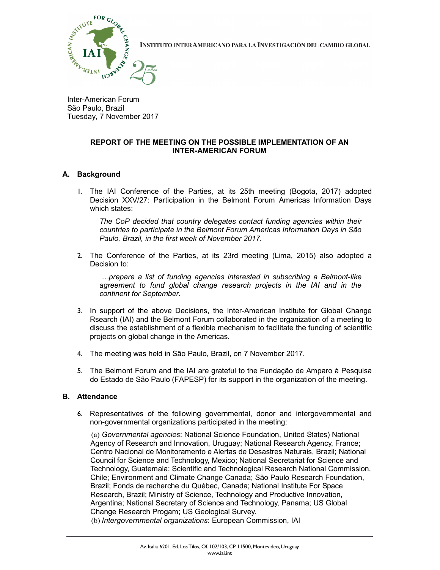

INSTITUTO INTERAMERICANO PARA LA INVESTIGACIÓN DEL CAMBIO GLOBAL

Inter-American Forum São Paulo, Brazil Tuesday, 7 November 2017

## REPORT OF THE MEETING ON THE POSSIBLE IMPLEMENTATION OF AN INTER-AMERICAN FORUM

## A. Background

1. The IAI Conference of the Parties, at its 25th meeting (Bogota, 2017) adopted Decision XXV/27: Participation in the Belmont Forum Americas Information Days which states:

The CoP decided that country delegates contact funding agencies within their countries to participate in the Belmont Forum Americas Information Days in São Paulo, Brazil, in the first week of November 2017.

2. The Conference of the Parties, at its 23rd meeting (Lima, 2015) also adopted a Decision to:

 …prepare a list of funding agencies interested in subscribing a Belmont-like agreement to fund global change research projects in the IAI and in the continent for September.

- 3. In support of the above Decisions, the Inter-American Institute for Global Change Rsearch (IAI) and the Belmont Forum collaborated in the organization of a meeting to discuss the establishment of a flexible mechanism to facilitate the funding of scientific projects on global change in the Americas.
- 4. The meeting was held in São Paulo, Brazil, on 7 November 2017.
- 5. The Belmont Forum and the IAI are grateful to the Fundação de Amparo à Pesquisa do Estado de São Paulo (FAPESP) for its support in the organization of the meeting.

## B. Attendance

6. Representatives of the following governmental, donor and intergovernmental and non-governmental organizations participated in the meeting:

(a) Governmental agencies: National Science Foundation, United States) National Agency of Research and Innovation, Uruguay; National Research Agency, France; Centro Nacional de Monitoramento e Alertas de Desastres Naturais, Brazil; National Council for Science and Technology, Mexico; National Secretariat for Science and Technology, Guatemala; Scientific and Technological Research National Commission, Chile; Environment and Climate Change Canada; São Paulo Research Foundation, Brazil; Fonds de recherche du Québec, Canada; National Institute For Space Research, Brazil; Ministry of Science, Technology and Productive Innovation, Argentina; National Secretary of Science and Technology, Panama; US Global Change Research Progam; US Geological Survey. (b) Intergovernmental organizations: European Commission, IAI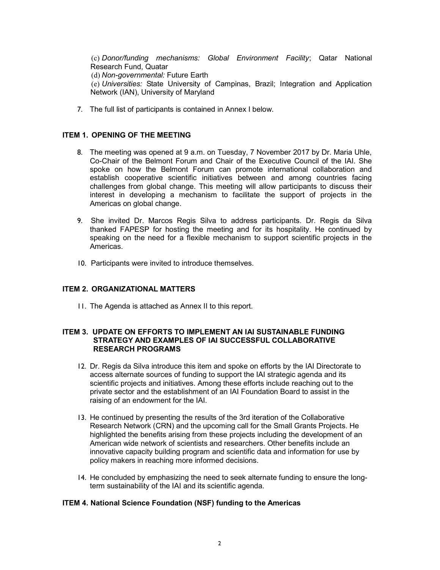(c) Donor/funding mechanisms: Global Environment Facility; Qatar National Research Fund, Quatar

(d) Non-governmental: Future Earth

(e) Universities: State University of Campinas, Brazil; Integration and Application Network (IAN), University of Maryland

7. The full list of participants is contained in Annex I below.

## ITEM 1. OPENING OF THE MEETING

- 8. The meeting was opened at 9 a.m. on Tuesday, 7 November 2017 by Dr. Maria Uhle, Co-Chair of the Belmont Forum and Chair of the Executive Council of the IAI. She spoke on how the Belmont Forum can promote international collaboration and establish cooperative scientific initiatives between and among countries facing challenges from global change. This meeting will allow participants to discuss their interest in developing a mechanism to facilitate the support of projects in the Americas on global change.
- 9. She invited Dr. Marcos Regis Silva to address participants. Dr. Regis da Silva thanked FAPESP for hosting the meeting and for its hospitality. He continued by speaking on the need for a flexible mechanism to support scientific projects in the Americas.
- 10. Participants were invited to introduce themselves.

## ITEM 2. ORGANIZATIONAL MATTERS

11. The Agenda is attached as Annex II to this report.

### ITEM 3. UPDATE ON EFFORTS TO IMPLEMENT AN IAI SUSTAINABLE FUNDING STRATEGY AND EXAMPLES OF IAI SUCCESSFUL COLLABORATIVE RESEARCH PROGRAMS

- 12. Dr. Regis da Silva introduce this item and spoke on efforts by the IAI Directorate to access alternate sources of funding to support the IAI strategic agenda and its scientific projects and initiatives. Among these efforts include reaching out to the private sector and the establishment of an IAI Foundation Board to assist in the raising of an endowment for the IAI.
- 13. He continued by presenting the results of the 3rd iteration of the Collaborative Research Network (CRN) and the upcoming call for the Small Grants Projects. He highlighted the benefits arising from these projects including the development of an American wide network of scientists and researchers. Other benefits include an innovative capacity building program and scientific data and information for use by policy makers in reaching more informed decisions.
- 14. He concluded by emphasizing the need to seek alternate funding to ensure the longterm sustainability of the IAI and its scientific agenda.

## ITEM 4. National Science Foundation (NSF) funding to the Americas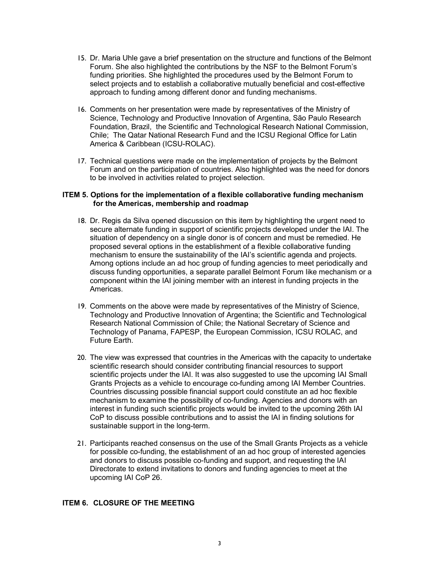- 15. Dr. Maria Uhle gave a brief presentation on the structure and functions of the Belmont Forum. She also highlighted the contributions by the NSF to the Belmont Forum's funding priorities. She highlighted the procedures used by the Belmont Forum to select projects and to establish a collaborative mutually beneficial and cost-effective approach to funding among different donor and funding mechanisms.
- 16. Comments on her presentation were made by representatives of the Ministry of Science, Technology and Productive Innovation of Argentina, São Paulo Research Foundation, Brazil, the Scientific and Technological Research National Commission, Chile; The Qatar National Research Fund and the ICSU Regional Office for Latin America & Caribbean (ICSU-ROLAC).
- 17. Technical questions were made on the implementation of projects by the Belmont Forum and on the participation of countries. Also highlighted was the need for donors to be involved in activities related to project selection.

#### ITEM 5. Options for the implementation of a flexible collaborative funding mechanism for the Americas, membership and roadmap

- 18. Dr. Regis da Silva opened discussion on this item by highlighting the urgent need to secure alternate funding in support of scientific projects developed under the IAI. The situation of dependency on a single donor is of concern and must be remedied. He proposed several options in the establishment of a flexible collaborative funding mechanism to ensure the sustainability of the IAI's scientific agenda and projects. Among options include an ad hoc group of funding agencies to meet periodically and discuss funding opportunities, a separate parallel Belmont Forum like mechanism or a component within the IAI joining member with an interest in funding projects in the Americas.
- 19. Comments on the above were made by representatives of the Ministry of Science, Technology and Productive Innovation of Argentina; the Scientific and Technological Research National Commission of Chile; the National Secretary of Science and Technology of Panama, FAPESP, the European Commission, ICSU ROLAC, and Future Earth.
- 20. The view was expressed that countries in the Americas with the capacity to undertake scientific research should consider contributing financial resources to support scientific projects under the IAI. It was also suggested to use the upcoming IAI Small Grants Projects as a vehicle to encourage co-funding among IAI Member Countries. Countries discussing possible financial support could constitute an ad hoc flexible mechanism to examine the possibility of co-funding. Agencies and donors with an interest in funding such scientific projects would be invited to the upcoming 26th IAI CoP to discuss possible contributions and to assist the IAI in finding solutions for sustainable support in the long-term.
- 21. Participants reached consensus on the use of the Small Grants Projects as a vehicle for possible co-funding, the establishment of an ad hoc group of interested agencies and donors to discuss possible co-funding and support, and requesting the IAI Directorate to extend invitations to donors and funding agencies to meet at the upcoming IAI CoP 26.

## ITEM 6. CLOSURE OF THE MEETING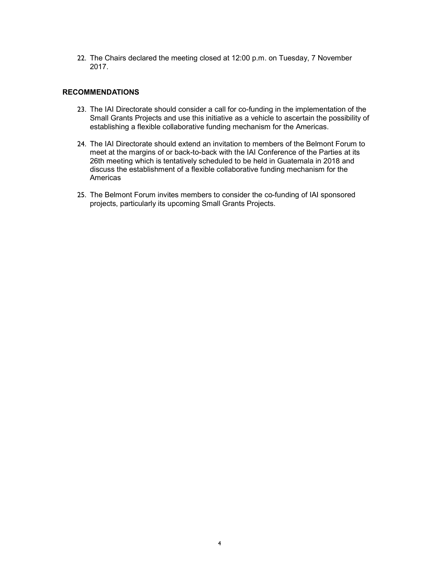22. The Chairs declared the meeting closed at 12:00 p.m. on Tuesday, 7 November 2017.

#### RECOMMENDATIONS

- 23. The IAI Directorate should consider a call for co-funding in the implementation of the Small Grants Projects and use this initiative as a vehicle to ascertain the possibility of establishing a flexible collaborative funding mechanism for the Americas.
- 24. The IAI Directorate should extend an invitation to members of the Belmont Forum to meet at the margins of or back-to-back with the IAI Conference of the Parties at its 26th meeting which is tentatively scheduled to be held in Guatemala in 2018 and discuss the establishment of a flexible collaborative funding mechanism for the Americas
- 25. The Belmont Forum invites members to consider the co-funding of IAI sponsored projects, particularly its upcoming Small Grants Projects.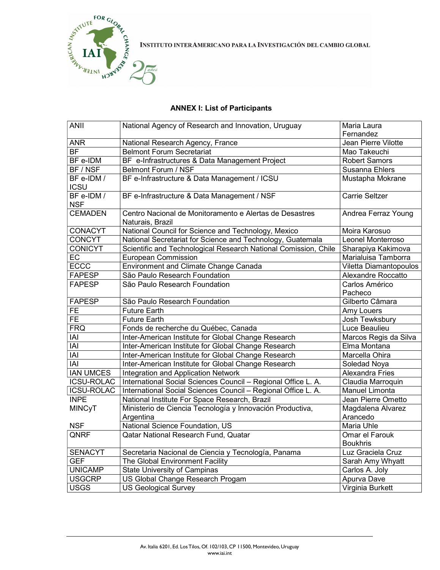

INSTITUTO INTERAMERICANO PARA LA INVESTIGACIÓN DEL CAMBIO GLOBAL

# ANNEX I: List of Participants

| <b>ANII</b>               | National Agency of Research and Innovation, Uruguay             | Maria Laura               |
|---------------------------|-----------------------------------------------------------------|---------------------------|
|                           |                                                                 | Fernandez                 |
| <b>ANR</b>                | National Research Agency, France                                | Jean Pierre Vilotte       |
| <b>BF</b>                 | <b>Belmont Forum Secretariat</b>                                | Mao Takeuchi              |
| BF e-IDM                  | BF e-Infrastructures & Data Management Project                  | <b>Robert Samors</b>      |
| BF / NSF                  | <b>Belmont Forum / NSF</b>                                      | Susanna Ehlers            |
| BF e-IDM /                | BF e-Infrastructure & Data Management / ICSU                    | Mustapha Mokrane          |
| <b>ICSU</b>               |                                                                 |                           |
| BF e-IDM /                | BF e-Infrastructure & Data Management / NSF                     | <b>Carrie Seltzer</b>     |
| <b>NSF</b>                |                                                                 |                           |
| <b>CEMADEN</b>            | Centro Nacional de Monitoramento e Alertas de Desastres         | Andrea Ferraz Young       |
|                           | Naturais, Brazil                                                |                           |
| <b>CONACYT</b>            | National Council for Science and Technology, Mexico             | Moira Karosuo             |
| <b>CONCYT</b>             | National Secretariat for Science and Technology, Guatemala      | Leonel Monterroso         |
| <b>CONICYT</b>            | Scientific and Technological Research National Comission, Chile | Sharapiya Kakimova        |
| <b>EC</b>                 | <b>European Commission</b>                                      | Marialuisa Tamborra       |
| <b>ECCC</b>               | <b>Environment and Climate Change Canada</b>                    | Viletta Diamantopoulos    |
| <b>FAPESP</b>             | São Paulo Research Foundation                                   | <b>Alexandre Roccatto</b> |
| <b>FAPESP</b>             | São Paulo Research Foundation                                   | Carlos Américo            |
|                           |                                                                 | Pacheco                   |
| <b>FAPESP</b>             | São Paulo Research Foundation                                   | Gilberto Câmara           |
| <b>FE</b>                 | <b>Future Earth</b>                                             | Amy Louers                |
| <b>FE</b>                 | <b>Future Earth</b>                                             | Josh Tewksbury            |
| <b>FRQ</b>                | Fonds de recherche du Québec, Canada                            | Luce Beaulieu             |
| IAI                       | Inter-American Institute for Global Change Research             | Marcos Regis da Silva     |
| IAI                       | Inter-American Institute for Global Change Research             | Elma Montana              |
| $\overline{ \mathsf{A} }$ | Inter-American Institute for Global Change Research             | Marcella Ohira            |
| IAI                       | Inter-American Institute for Global Change Research             | Soledad Noya              |
| <b>IAN UMCES</b>          | Integration and Application Network                             | <b>Alexandra Fries</b>    |
| <b>ICSU-ROLAC</b>         | International Social Sciences Council - Regional Office L. A.   | Claudia Marroquin         |
| <b>ICSU-ROLAC</b>         | International Social Sciences Council - Regional Office L. A.   | Manuel Limonta            |
| <b>INPE</b>               | National Institute For Space Research, Brazil                   | Jean Pierre Ometto        |
| <b>MINCyT</b>             | Ministerio de Ciencia Tecnología y Innovación Productiva,       | Magdalena Alvarez         |
|                           | Argentina                                                       | Arancedo                  |
| <b>NSF</b>                | National Science Foundation, US                                 | Maria Uhle                |
| QNRF                      | Qatar National Research Fund, Quatar                            | Omar el Farouk            |
|                           |                                                                 | <b>Boukhris</b>           |
| <b>SENACYT</b>            | Secretaria Nacional de Ciencia y Tecnología, Panama             | Luz Graciela Cruz         |
| <b>GEF</b>                | The Global Environment Facility                                 | Sarah Amy Whyatt          |
| <b>UNICAMP</b>            | <b>State University of Campinas</b>                             | Carlos A. Joly            |
| <b>USGCRP</b>             | US Global Change Research Progam                                | Apurva Dave               |
| <b>USGS</b>               | <b>US Geological Survey</b>                                     | Virginia Burkett          |